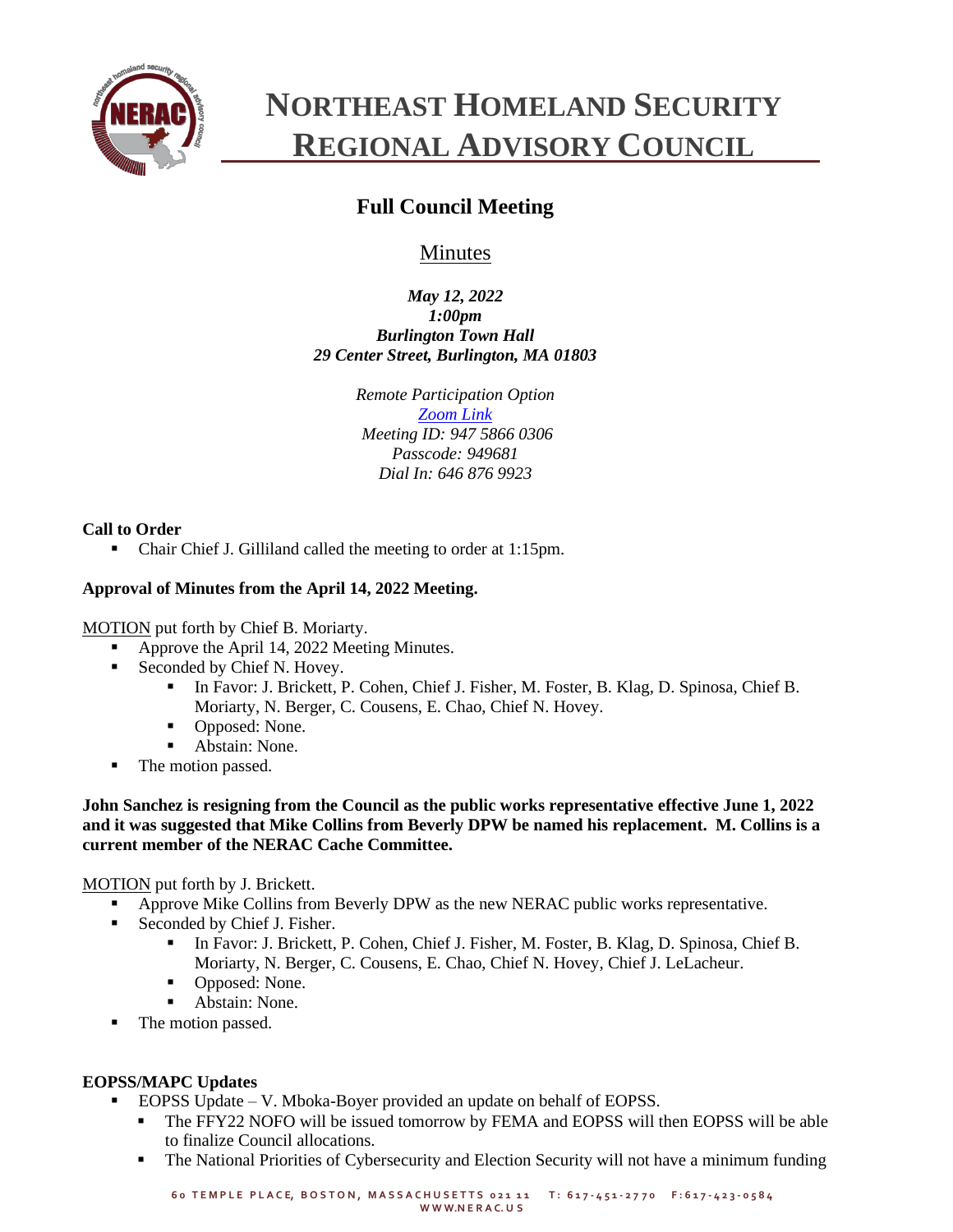

# **NORTHEAST HOMELAND SECURITY REGIONAL ADVISORY COUNCIL**

# **Full Council Meeting**

# Minutes

*May 12, 2022 1:00pm Burlington Town Hall 29 Center Street, Burlington, MA 01803*

> *Remote Participation Option [Zoom Link](https://zoom.us/j/94758660306?pwd=SzNhc1dNd0ZYNGg4c0pmalJ1bXVMdz09) Meeting ID: 947 5866 0306 Passcode: 949681 Dial In: 646 876 9923*

# **Call to Order**

▪ Chair Chief J. Gilliland called the meeting to order at 1:15pm.

# **Approval of Minutes from the April 14, 2022 Meeting.**

MOTION put forth by Chief B. Moriarty.

- Approve the April 14, 2022 Meeting Minutes.
- Seconded by Chief N. Hovey.
	- In Favor: J. Brickett, P. Cohen, Chief J. Fisher, M. Foster, B. Klag, D. Spinosa, Chief B. Moriarty, N. Berger, C. Cousens, E. Chao, Chief N. Hovey.
	- Opposed: None.
	- Abstain: None.
- The motion passed.

**John Sanchez is resigning from the Council as the public works representative effective June 1, 2022 and it was suggested that Mike Collins from Beverly DPW be named his replacement. M. Collins is a current member of the NERAC Cache Committee.**

# MOTION put forth by J. Brickett.

- Approve Mike Collins from Beverly DPW as the new NERAC public works representative.
- Seconded by Chief J. Fisher.
	- In Favor: J. Brickett, P. Cohen, Chief J. Fisher, M. Foster, B. Klag, D. Spinosa, Chief B. Moriarty, N. Berger, C. Cousens, E. Chao, Chief N. Hovey, Chief J. LeLacheur.
	- Opposed: None.
	- Abstain: None.
- The motion passed.

# **EOPSS/MAPC Updates**

- EOPSS Update V. Mboka-Boyer provided an update on behalf of EOPSS.
	- The FFY22 NOFO will be issued tomorrow by FEMA and EOPSS will then EOPSS will be able to finalize Council allocations.
	- **•** The National Priorities of Cybersecurity and Election Security will not have a minimum funding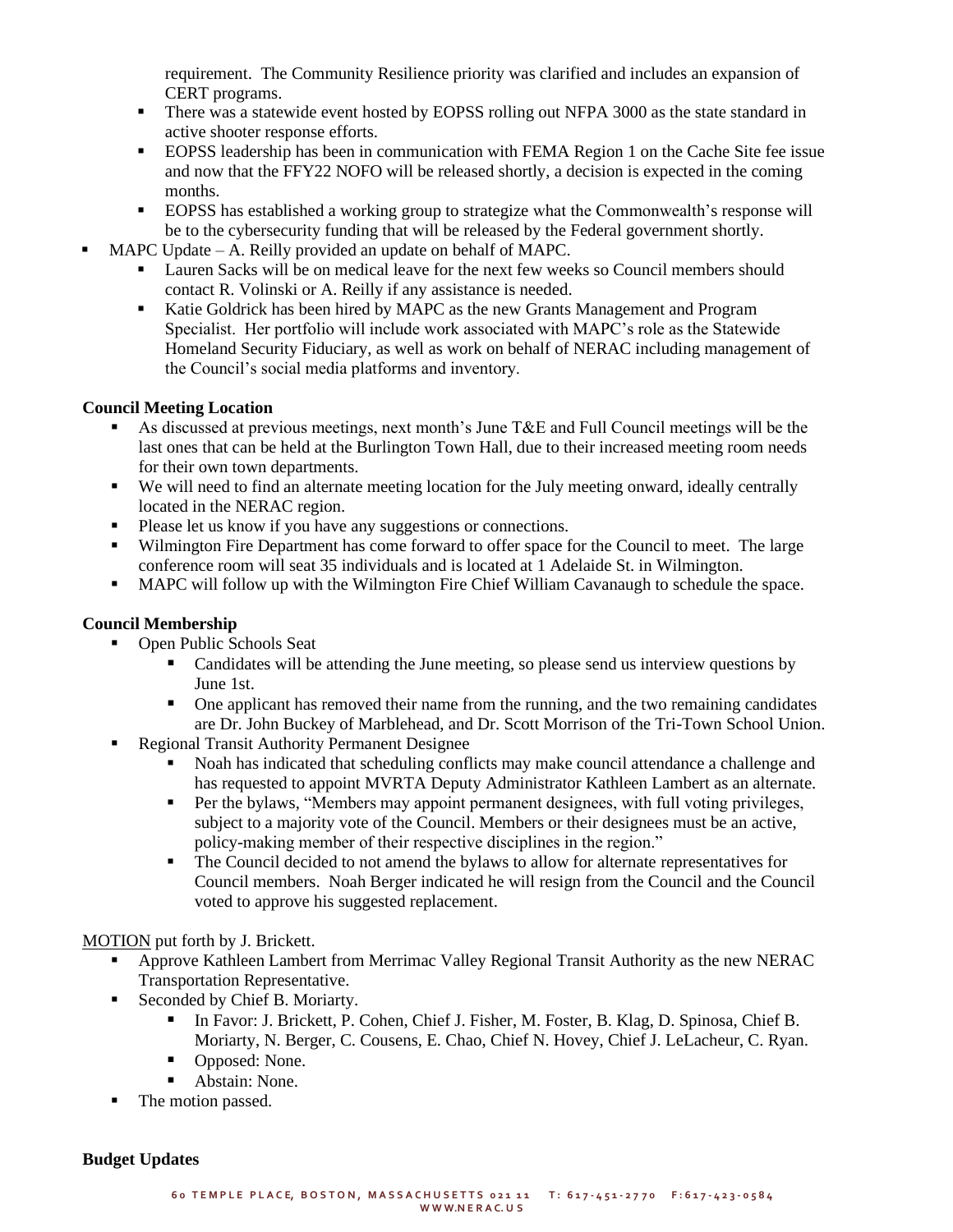requirement. The Community Resilience priority was clarified and includes an expansion of CERT programs.

- **•** There was a statewide event hosted by EOPSS rolling out NFPA 3000 as the state standard in active shooter response efforts.
- **EOPSS** leadership has been in communication with FEMA Region 1 on the Cache Site fee issue and now that the FFY22 NOFO will be released shortly, a decision is expected in the coming months.
- EOPSS has established a working group to strategize what the Commonwealth's response will be to the cybersecurity funding that will be released by the Federal government shortly.
- MAPC Update  $-$  A. Reilly provided an update on behalf of MAPC.
	- **•** Lauren Sacks will be on medical leave for the next few weeks so Council members should contact R. Volinski or A. Reilly if any assistance is needed.
	- Katie Goldrick has been hired by MAPC as the new Grants Management and Program Specialist. Her portfolio will include work associated with MAPC's role as the Statewide Homeland Security Fiduciary, as well as work on behalf of NERAC including management of the Council's social media platforms and inventory.

#### **Council Meeting Location**

- As discussed at previous meetings, next month's June  $T\&E$  and Full Council meetings will be the last ones that can be held at the Burlington Town Hall, due to their increased meeting room needs for their own town departments.
- We will need to find an alternate meeting location for the July meeting onward, ideally centrally located in the NERAC region.
- Please let us know if you have any suggestions or connections.
- Wilmington Fire Department has come forward to offer space for the Council to meet. The large conference room will seat 35 individuals and is located at 1 Adelaide St. in Wilmington.
- MAPC will follow up with the Wilmington Fire Chief William Cavanaugh to schedule the space.

# **Council Membership**

- Open Public Schools Seat
	- Candidates will be attending the June meeting, so please send us interview questions by June 1st.
	- One applicant has removed their name from the running, and the two remaining candidates are Dr. John Buckey of Marblehead, and Dr. Scott Morrison of the Tri-Town School Union.
- **Regional Transit Authority Permanent Designee** 
	- Noah has indicated that scheduling conflicts may make council attendance a challenge and has requested to appoint MVRTA Deputy Administrator Kathleen Lambert as an alternate.
	- **•** Per the bylaws, "Members may appoint permanent designees, with full voting privileges, subject to a majority vote of the Council. Members or their designees must be an active, policy-making member of their respective disciplines in the region."
	- **•** The Council decided to not amend the bylaws to allow for alternate representatives for Council members. Noah Berger indicated he will resign from the Council and the Council voted to approve his suggested replacement.

### MOTION put forth by J. Brickett.

- Approve Kathleen Lambert from Merrimac Valley Regional Transit Authority as the new NERAC Transportation Representative.
- Seconded by Chief B. Moriarty.
	- In Favor: J. Brickett, P. Cohen, Chief J. Fisher, M. Foster, B. Klag, D. Spinosa, Chief B. Moriarty, N. Berger, C. Cousens, E. Chao, Chief N. Hovey, Chief J. LeLacheur, C. Ryan.
	- Opposed: None.
	- Abstain: None.
- The motion passed.

#### **Budget Updates**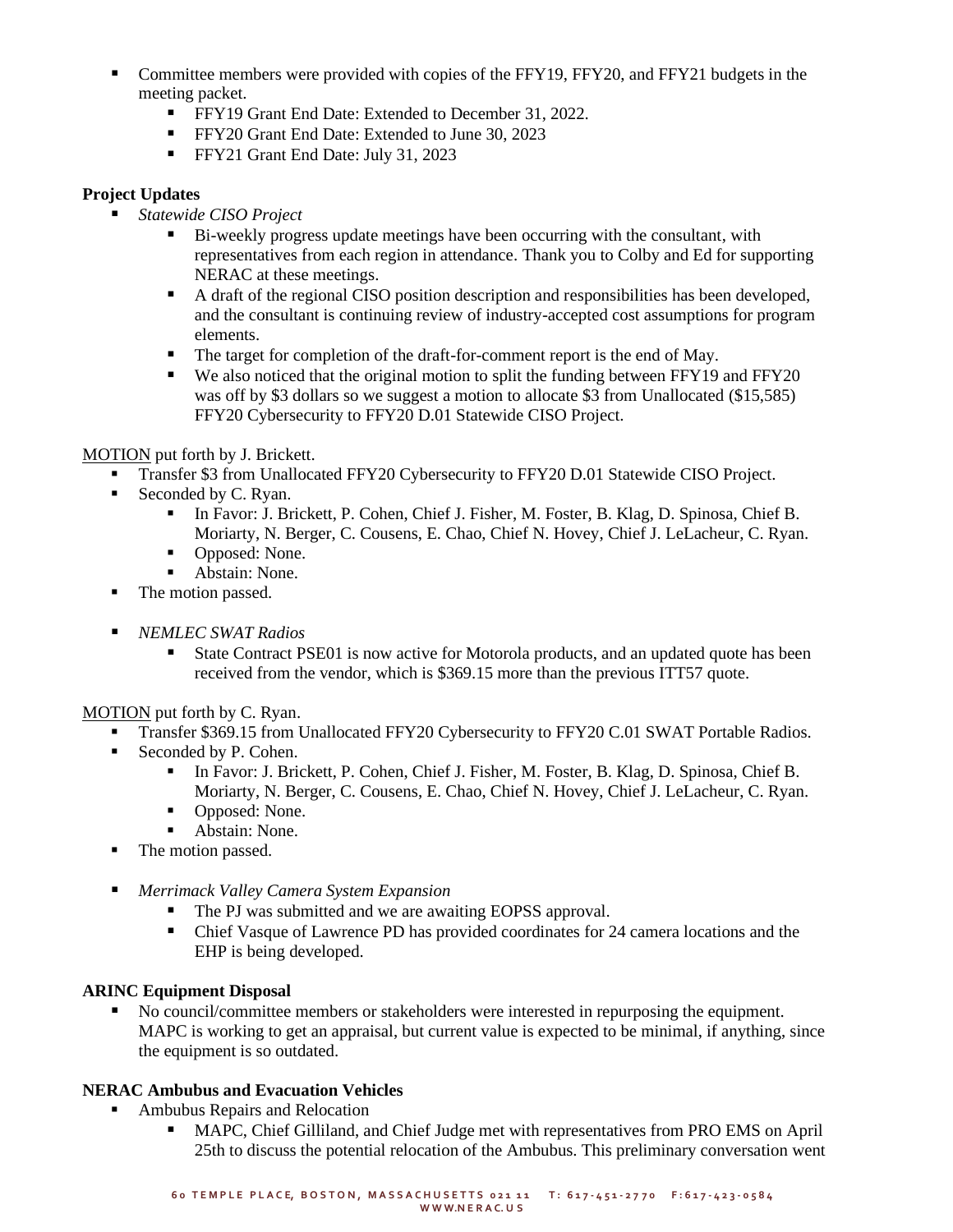- Committee members were provided with copies of the FFY19, FFY20, and FFY21 budgets in the meeting packet.
	- FFY19 Grant End Date: Extended to December 31, 2022.
	- **•** FFY20 Grant End Date: Extended to June 30, 2023
	- **•** FFY21 Grant End Date: July 31, 2023

# **Project Updates**

- *Statewide CISO Project*
	- Bi-weekly progress update meetings have been occurring with the consultant, with representatives from each region in attendance. Thank you to Colby and Ed for supporting NERAC at these meetings.
	- A draft of the regional CISO position description and responsibilities has been developed, and the consultant is continuing review of industry-accepted cost assumptions for program elements.
	- The target for completion of the draft-for-comment report is the end of May.
	- We also noticed that the original motion to split the funding between FFY19 and FFY20 was off by \$3 dollars so we suggest a motion to allocate \$3 from Unallocated (\$15,585) FFY20 Cybersecurity to FFY20 D.01 Statewide CISO Project.

# MOTION put forth by J. Brickett.

- Transfer \$3 from Unallocated FFY20 Cybersecurity to FFY20 D.01 Statewide CISO Project.
- Seconded by C. Ryan.
	- In Favor: J. Brickett, P. Cohen, Chief J. Fisher, M. Foster, B. Klag, D. Spinosa, Chief B. Moriarty, N. Berger, C. Cousens, E. Chao, Chief N. Hovey, Chief J. LeLacheur, C. Ryan.
	- Opposed: None.
	- Abstain: None.
- The motion passed.
- *NEMLEC SWAT Radios* 
	- State Contract PSE01 is now active for Motorola products, and an updated quote has been received from the vendor, which is \$369.15 more than the previous ITT57 quote.

# MOTION put forth by C. Ryan.

- Transfer \$369.15 from Unallocated FFY20 Cybersecurity to FFY20 C.01 SWAT Portable Radios.
- Seconded by P. Cohen.
	- In Favor: J. Brickett, P. Cohen, Chief J. Fisher, M. Foster, B. Klag, D. Spinosa, Chief B. Moriarty, N. Berger, C. Cousens, E. Chao, Chief N. Hovey, Chief J. LeLacheur, C. Ryan.
	- Opposed: None.
	- Abstain: None.
- The motion passed.
- *Merrimack Valley Camera System Expansion* 
	- The PJ was submitted and we are awaiting EOPSS approval.
	- Chief Vasque of Lawrence PD has provided coordinates for 24 camera locations and the EHP is being developed.

# **ARINC Equipment Disposal**

■ No council/committee members or stakeholders were interested in repurposing the equipment. MAPC is working to get an appraisal, but current value is expected to be minimal, if anything, since the equipment is so outdated.

# **NERAC Ambubus and Evacuation Vehicles**

- Ambubus Repairs and Relocation
	- MAPC, Chief Gilliland, and Chief Judge met with representatives from PRO EMS on April 25th to discuss the potential relocation of the Ambubus. This preliminary conversation went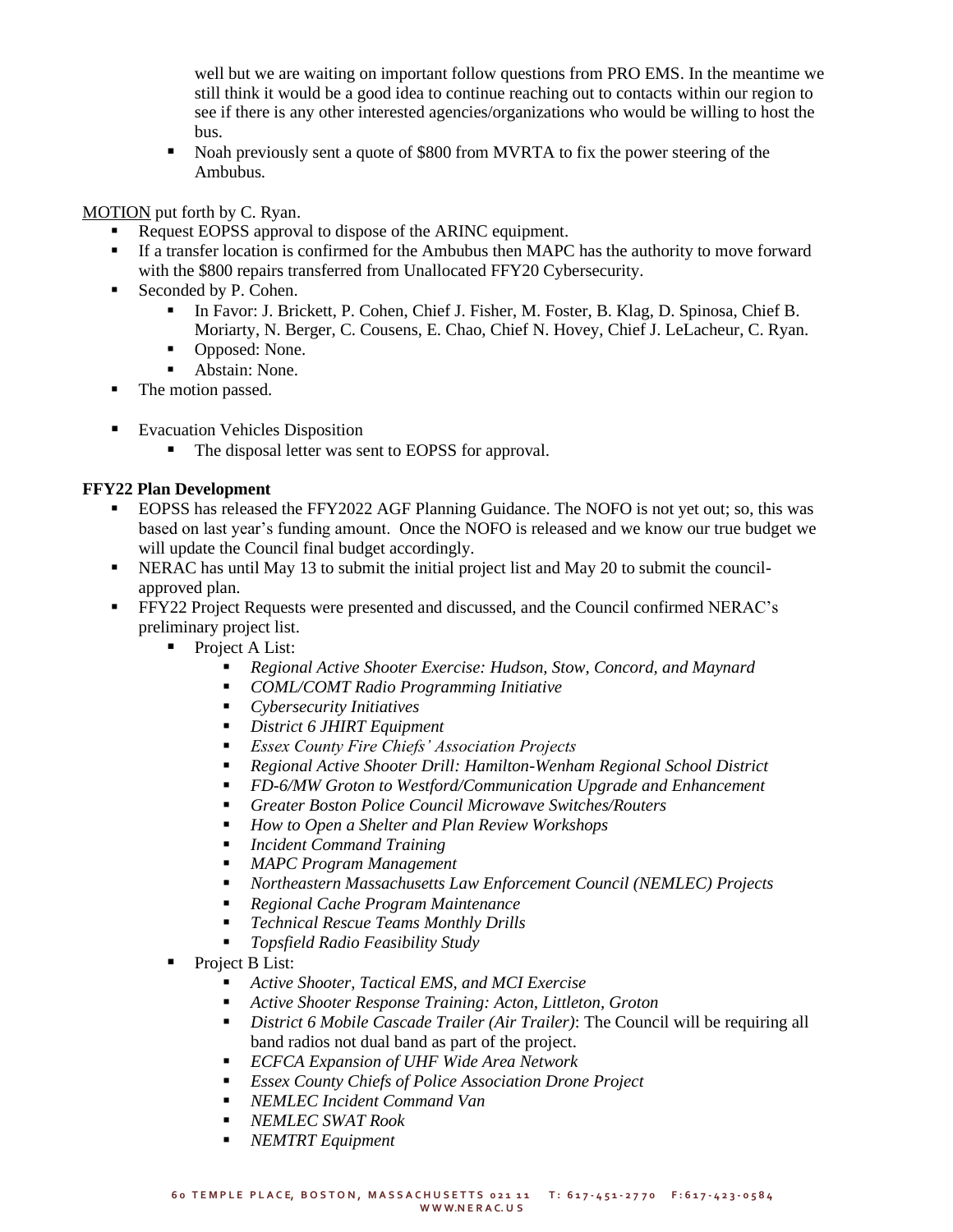well but we are waiting on important follow questions from PRO EMS. In the meantime we still think it would be a good idea to continue reaching out to contacts within our region to see if there is any other interested agencies/organizations who would be willing to host the bus.

■ Noah previously sent a quote of \$800 from MVRTA to fix the power steering of the Ambubus.

#### MOTION put forth by C. Ryan.

- Request EOPSS approval to dispose of the ARINC equipment.
- If a transfer location is confirmed for the Ambubus then MAPC has the authority to move forward with the \$800 repairs transferred from Unallocated FFY20 Cybersecurity.
- Seconded by P. Cohen.
	- In Favor: J. Brickett, P. Cohen, Chief J. Fisher, M. Foster, B. Klag, D. Spinosa, Chief B. Moriarty, N. Berger, C. Cousens, E. Chao, Chief N. Hovey, Chief J. LeLacheur, C. Ryan.
	- Opposed: None.
	- Abstain: None.
- The motion passed.
- Evacuation Vehicles Disposition
	- The disposal letter was sent to EOPSS for approval.

#### **FFY22 Plan Development**

- EOPSS has released the FFY2022 AGF Planning Guidance. The NOFO is not yet out; so, this was based on last year's funding amount. Once the NOFO is released and we know our true budget we will update the Council final budget accordingly.
- NERAC has until May 13 to submit the initial project list and May 20 to submit the councilapproved plan.
- FFY22 Project Requests were presented and discussed, and the Council confirmed NERAC's preliminary project list.
	- Project A List:
		- *Regional Active Shooter Exercise: Hudson, Stow, Concord, and Maynard*
		- *COML/COMT Radio Programming Initiative*
		- *Cybersecurity Initiatives*
		- *District 6 JHIRT Equipment*
		- *Essex County Fire Chiefs' Association Projects*
		- *Regional Active Shooter Drill: Hamilton-Wenham Regional School District*
		- *FD-6/MW Groton to Westford/Communication Upgrade and Enhancement*
		- *Greater Boston Police Council Microwave Switches/Routers*
		- *How to Open a Shelter and Plan Review Workshops*
		- *Incident Command Training*
		- *MAPC Program Management*
		- *Northeastern Massachusetts Law Enforcement Council (NEMLEC) Projects*
		- *Regional Cache Program Maintenance*
		- *Technical Rescue Teams Monthly Drills*
		- *Topsfield Radio Feasibility Study*
	- Project B List:
		- *Active Shooter, Tactical EMS, and MCI Exercise*
		- *Active Shooter Response Training: Acton, Littleton, Groton*
		- *District 6 Mobile Cascade Trailer (Air Trailer)*: The Council will be requiring all band radios not dual band as part of the project.
		- *ECFCA Expansion of UHF Wide Area Network*
		- *Essex County Chiefs of Police Association Drone Project*
		- *NEMLEC Incident Command Van*
		- *NEMLEC SWAT Rook*
		- *NEMTRT Equipment*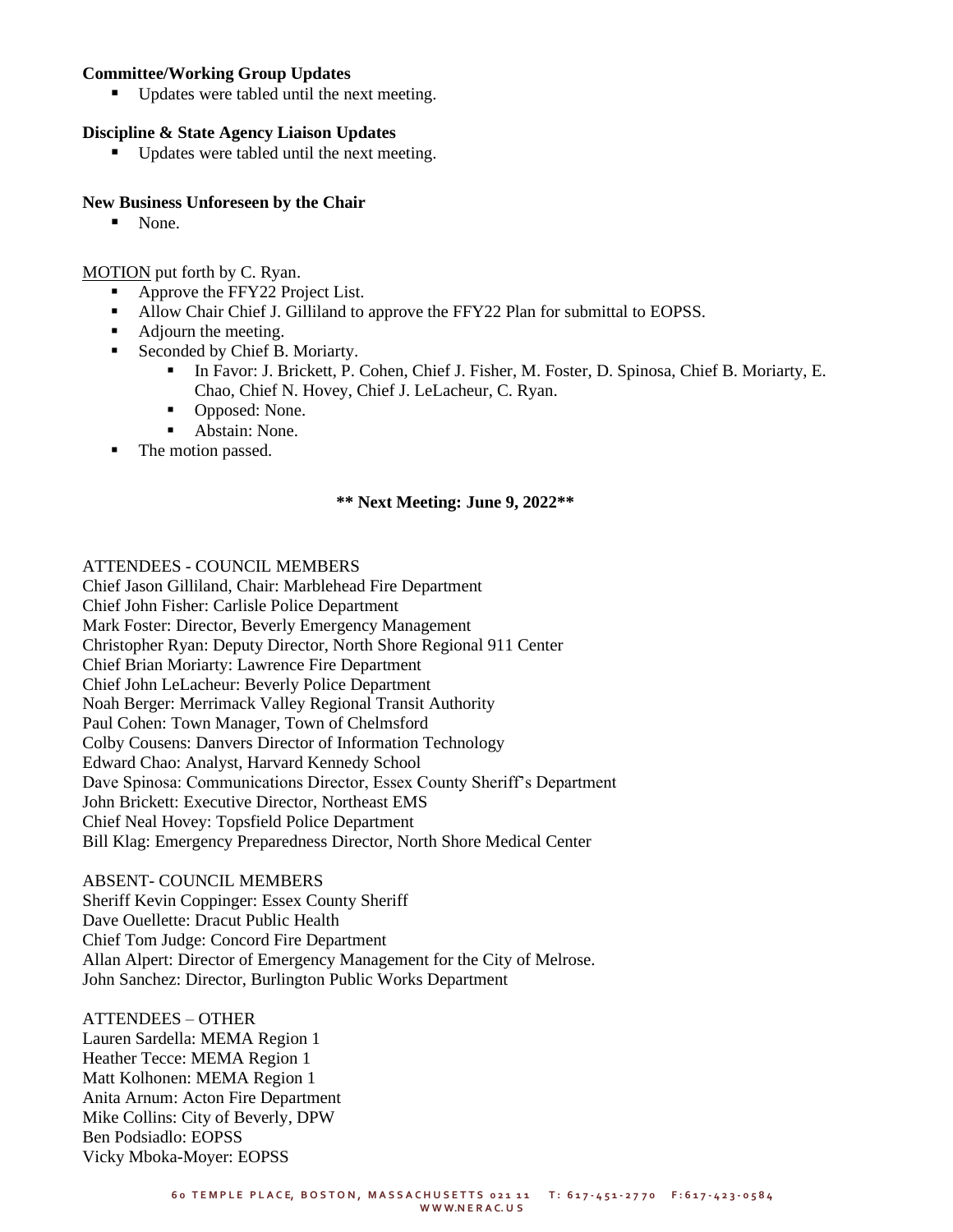#### **Committee/Working Group Updates**

Updates were tabled until the next meeting.

#### **Discipline & State Agency Liaison Updates**

■ Updates were tabled until the next meeting.

#### **New Business Unforeseen by the Chair**

■ None.

MOTION put forth by C. Ryan.

- Approve the FFY22 Project List.
- Allow Chair Chief J. Gilliland to approve the FFY22 Plan for submittal to EOPSS.
- Adjourn the meeting.
	- Seconded by Chief B. Moriarty.
		- In Favor: J. Brickett, P. Cohen, Chief J. Fisher, M. Foster, D. Spinosa, Chief B. Moriarty, E. Chao, Chief N. Hovey, Chief J. LeLacheur, C. Ryan.
		- Opposed: None.
		- Abstain: None.
- The motion passed.

#### **\*\* Next Meeting: June 9, 2022\*\***

#### ATTENDEES - COUNCIL MEMBERS

Chief Jason Gilliland, Chair: Marblehead Fire Department Chief John Fisher: Carlisle Police Department Mark Foster: Director, Beverly Emergency Management Christopher Ryan: Deputy Director, North Shore Regional 911 Center Chief Brian Moriarty: Lawrence Fire Department Chief John LeLacheur: Beverly Police Department Noah Berger: Merrimack Valley Regional Transit Authority Paul Cohen: Town Manager, Town of Chelmsford Colby Cousens: Danvers Director of Information Technology Edward Chao: Analyst, Harvard Kennedy School Dave Spinosa: Communications Director, Essex County Sheriff's Department John Brickett: Executive Director, Northeast EMS Chief Neal Hovey: Topsfield Police Department Bill Klag: Emergency Preparedness Director, North Shore Medical Center

#### ABSENT- COUNCIL MEMBERS

Sheriff Kevin Coppinger: Essex County Sheriff Dave Ouellette: Dracut Public Health Chief Tom Judge: Concord Fire Department Allan Alpert: Director of Emergency Management for the City of Melrose. John Sanchez: Director, Burlington Public Works Department

#### ATTENDEES – OTHER

Lauren Sardella: MEMA Region 1 Heather Tecce: MEMA Region 1 Matt Kolhonen: MEMA Region 1 Anita Arnum: Acton Fire Department Mike Collins: City of Beverly, DPW Ben Podsiadlo: EOPSS Vicky Mboka-Moyer: EOPSS